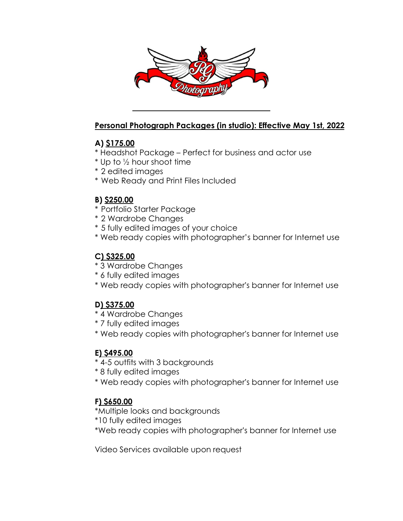

### **Personal Photograph Packages (in studio): Effective May 1st, 2022**

## **A) \$175.00**

- \* Headshot Package Perfect for business and actor use
- \* Up to ½ hour shoot time
- \* 2 edited images
- \* Web Ready and Print Files Included

# **B) \$250.00**

- \* Portfolio Starter Package
- \* 2 Wardrobe Changes
- \* 5 fully edited images of your choice
- \* Web ready copies with photographer's banner for Internet use

# **C) \$325.00**

- \* 3 Wardrobe Changes
- \* 6 fully edited images
- \* Web ready copies with photographer's banner for Internet use

### **D) \$375.00**

- \* 4 Wardrobe Changes
- \* 7 fully edited images
- \* Web ready copies with photographer's banner for Internet use

### **E) \$495.00**

- \* 4-5 outfits with 3 backgrounds
- \* 8 fully edited images
- \* Web ready copies with photographer's banner for Internet use

### **F) \$650.00**

\*Multiple looks and backgrounds

- \*10 fully edited images
- \*Web ready copies with photographer's banner for Internet use

Video Services available upon request